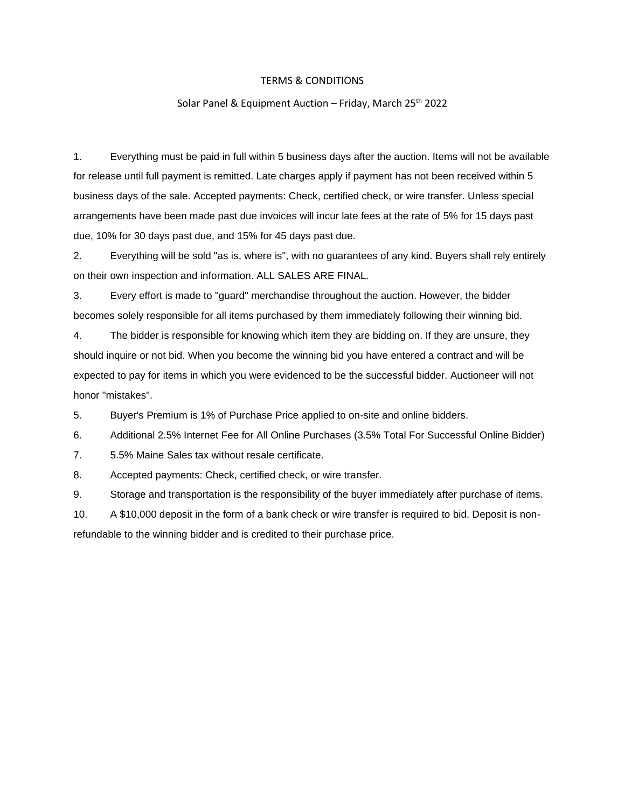## TERMS & CONDITIONS

## Solar Panel & Equipment Auction – Friday, March 25<sup>th</sup> 2022

1. Everything must be paid in full within 5 business days after the auction. Items will not be available for release until full payment is remitted. Late charges apply if payment has not been received within 5 business days of the sale. Accepted payments: Check, certified check, or wire transfer. Unless special arrangements have been made past due invoices will incur late fees at the rate of 5% for 15 days past due, 10% for 30 days past due, and 15% for 45 days past due.

2. Everything will be sold "as is, where is", with no guarantees of any kind. Buyers shall rely entirely on their own inspection and information. ALL SALES ARE FINAL.

3. Every effort is made to "guard" merchandise throughout the auction. However, the bidder becomes solely responsible for all items purchased by them immediately following their winning bid.

4. The bidder is responsible for knowing which item they are bidding on. If they are unsure, they should inquire or not bid. When you become the winning bid you have entered a contract and will be expected to pay for items in which you were evidenced to be the successful bidder. Auctioneer will not honor "mistakes".

5. Buyer's Premium is 1% of Purchase Price applied to on-site and online bidders.

6. Additional 2.5% Internet Fee for All Online Purchases (3.5% Total For Successful Online Bidder)

7. 5.5% Maine Sales tax without resale certificate.

8. Accepted payments: Check, certified check, or wire transfer.

9. Storage and transportation is the responsibility of the buyer immediately after purchase of items.

10. A \$10,000 deposit in the form of a bank check or wire transfer is required to bid. Deposit is nonrefundable to the winning bidder and is credited to their purchase price.